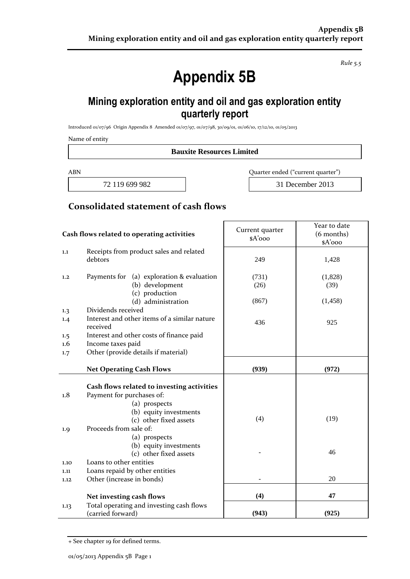*Rule 5.5*

# **Appendix 5B**

## **Mining exploration entity and oil and gas exploration entity quarterly report**

Introduced 01/07/96 Origin Appendix 8 Amended 01/07/97, 01/07/98, 30/09/01, 01/06/10, 17/12/10, 01/05/2013

Name of entity

**Bauxite Resources Limited**

ABN Quarter ended ("current quarter")

72 119 699 982 31 December 2013

#### **Consolidated statement of cash flows**

| Cash flows related to operating activities |                                                          | Current quarter<br>\$A'ooo | Year to date<br>(6 months)<br>\$A'ooo |
|--------------------------------------------|----------------------------------------------------------|----------------------------|---------------------------------------|
| 1.1                                        | Receipts from product sales and related                  |                            |                                       |
|                                            | debtors                                                  | 249                        | 1,428                                 |
| 1,2                                        | Payments for<br>(a) exploration & evaluation             | (731)                      | (1,828)                               |
|                                            | (b) development<br>(c) production                        | (26)                       | (39)                                  |
|                                            | (d) administration                                       | (867)                      | (1, 458)                              |
| 1.3                                        | Dividends received                                       |                            |                                       |
| 1.4                                        | Interest and other items of a similar nature<br>received | 436                        | 925                                   |
| 1.5                                        | Interest and other costs of finance paid                 |                            |                                       |
| 1.6                                        | Income taxes paid                                        |                            |                                       |
| 1.7                                        | Other (provide details if material)                      |                            |                                       |
| <b>Net Operating Cash Flows</b>            |                                                          | (939)                      | (972)                                 |
|                                            | Cash flows related to investing activities               |                            |                                       |
| 1.8                                        | Payment for purchases of:                                |                            |                                       |
|                                            | (a) prospects                                            |                            |                                       |
|                                            | (b) equity investments                                   |                            |                                       |
|                                            | (c) other fixed assets                                   | (4)                        | (19)                                  |
| 1.9                                        | Proceeds from sale of:                                   |                            |                                       |
|                                            | (a) prospects                                            |                            |                                       |
|                                            | (b) equity investments                                   |                            |                                       |
|                                            | (c) other fixed assets                                   |                            | 46                                    |
| 1.10                                       | Loans to other entities                                  |                            |                                       |
| 1.11                                       | Loans repaid by other entities                           |                            |                                       |
| 1.12                                       | Other (increase in bonds)                                |                            | 20                                    |
|                                            | Net investing cash flows                                 | (4)                        | 47                                    |
| 1.13                                       | Total operating and investing cash flows                 |                            |                                       |
|                                            | (carried forward)                                        | (943)                      | (925)                                 |

<sup>+</sup> See chapter 19 for defined terms.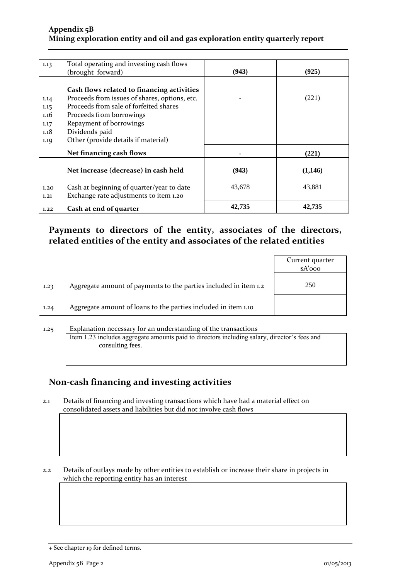#### **Appendix 5B Mining exploration entity and oil and gas exploration entity quarterly report**

| 1.13 | Total operating and investing cash flows      |        |         |
|------|-----------------------------------------------|--------|---------|
|      | (brought forward)                             | (943)  | (925)   |
|      |                                               |        |         |
|      | Cash flows related to financing activities    |        |         |
|      |                                               |        |         |
| 1.14 | Proceeds from issues of shares, options, etc. |        | (221)   |
| 1.15 | Proceeds from sale of forfeited shares        |        |         |
| 1.16 | Proceeds from borrowings                      |        |         |
| 1.17 | Repayment of borrowings                       |        |         |
| 1.18 | Dividends paid                                |        |         |
| 1.19 | Other (provide details if material)           |        |         |
|      | Net financing cash flows                      |        | (221)   |
|      |                                               |        |         |
|      | Net increase (decrease) in cash held          | (943)  | (1,146) |
|      |                                               |        |         |
| 1.20 | Cash at beginning of quarter/year to date     | 43,678 | 43,881  |
| 1.21 | Exchange rate adjustments to item 1.20        |        |         |
| 1.22 | Cash at end of quarter                        | 42,735 | 42,735  |

#### **Payments to directors of the entity, associates of the directors, related entities of the entity and associates of the related entities**

|      |                                                                  | Current quarter<br>$A'$ ooo |
|------|------------------------------------------------------------------|-----------------------------|
| 1.23 | Aggregate amount of payments to the parties included in item 1.2 | 250                         |
| 1.24 | Aggregate amount of loans to the parties included in item 1.10   |                             |
|      |                                                                  |                             |

#### 1.25 Explanation necessary for an understanding of the transactions Item 1.23 includes aggregate amounts paid to directors including salary, director's fees and consulting fees.

#### **Non-cash financing and investing activities**

2.1 Details of financing and investing transactions which have had a material effect on consolidated assets and liabilities but did not involve cash flows

2.2 Details of outlays made by other entities to establish or increase their share in projects in which the reporting entity has an interest

<sup>+</sup> See chapter 19 for defined terms.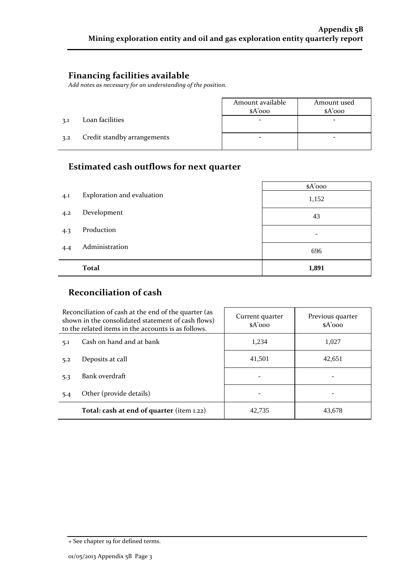#### **Financing facilities available**

*Add notes as necessary for an understanding of the position.*

|     |                             | Amount available<br>$A'$ 000 | Amount used<br>$A'$ 000 |
|-----|-----------------------------|------------------------------|-------------------------|
| 3.1 | Loan facilities             |                              |                         |
| 3.2 | Credit standby arrangements |                              |                         |

### **Estimated cash outflows for next quarter**

|     |                            | \$A'ooo |
|-----|----------------------------|---------|
| 4.1 | Exploration and evaluation | 1,152   |
| 4.2 | Development                | 43      |
| 4.3 | Production                 | -       |
| 4.4 | Administration             | 696     |
|     | <b>Total</b>               | 1,891   |

## **Reconciliation of cash**

| Reconciliation of cash at the end of the quarter (as<br>shown in the consolidated statement of cash flows)<br>to the related items in the accounts is as follows. |                                           | Current quarter<br>$A'$ 000 | Previous quarter<br>$A'$ 000 |
|-------------------------------------------------------------------------------------------------------------------------------------------------------------------|-------------------------------------------|-----------------------------|------------------------------|
| 5.1                                                                                                                                                               | Cash on hand and at bank                  | 1,234                       | 1,027                        |
| 5.2                                                                                                                                                               | Deposits at call                          | 41,501                      | 42,651                       |
| 5.3                                                                                                                                                               | Bank overdraft                            |                             | -                            |
| 5.4                                                                                                                                                               | Other (provide details)                   |                             |                              |
|                                                                                                                                                                   | Total: cash at end of quarter (item 1.22) | 42,735                      | 43,678                       |

<sup>+</sup> See chapter 19 for defined terms.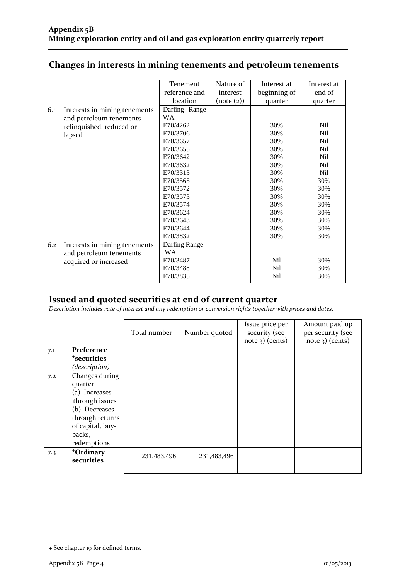#### **Changes in interests in mining tenements and petroleum tenements**

|     |                               | Tenement      | Nature of  | Interest at     | Interest at     |
|-----|-------------------------------|---------------|------------|-----------------|-----------------|
|     |                               | reference and | interest   |                 | end of          |
|     |                               |               |            | beginning of    |                 |
|     |                               | location      | (note (2)) | quarter         | quarter         |
| 6.1 | Interests in mining tenements | Darling Range |            |                 |                 |
|     | and petroleum tenements       | <b>WA</b>     |            |                 |                 |
|     | relinquished, reduced or      | E70/4262      |            | 30%             | Nil             |
|     | lapsed                        | E70/3706      |            | 30%             | Nil             |
|     |                               | E70/3657      |            | 30%             | N <sub>il</sub> |
|     |                               | E70/3655      |            | 30%             | Nil             |
|     |                               | E70/3642      |            | 30%             | N <sub>il</sub> |
|     |                               | E70/3632      |            | 30%             | N <sub>il</sub> |
|     |                               | E70/3313      |            | 30%             | N <sub>il</sub> |
|     |                               | E70/3565      |            | 30%             | 30%             |
|     |                               | E70/3572      |            | 30%             | 30%             |
|     |                               | E70/3573      |            | 30%             | 30%             |
|     |                               | E70/3574      |            | 30%             | 30%             |
|     |                               | E70/3624      |            | 30%             | 30%             |
|     |                               | E70/3643      |            | 30%             | 30%             |
|     |                               | E70/3644      |            | 30%             | 30%             |
|     |                               | E70/3832      |            | 30%             | 30%             |
| 6.2 | Interests in mining tenements | Darling Range |            |                 |                 |
|     | and petroleum tenements       | <b>WA</b>     |            |                 |                 |
|     |                               | E70/3487      |            | N <sub>il</sub> | 30%             |
|     | acquired or increased         |               |            |                 |                 |
|     |                               | E70/3488      |            | Nil             | 30%             |
|     |                               | E70/3835      |            | Nil             | 30%             |

#### **Issued and quoted securities at end of current quarter**

*Description includes rate of interest and any redemption or conversion rights together with prices and dates.*

|     |                         | Total number | Number quoted | Issue price per<br>security (see<br>$note$ 3) (cents) | Amount paid up<br>per security (see<br>$note$ 3) (cents) |
|-----|-------------------------|--------------|---------------|-------------------------------------------------------|----------------------------------------------------------|
| 7.1 | Preference              |              |               |                                                       |                                                          |
|     | <sup>+</sup> securities |              |               |                                                       |                                                          |
|     | (description)           |              |               |                                                       |                                                          |
| 7.2 | Changes during          |              |               |                                                       |                                                          |
|     | quarter                 |              |               |                                                       |                                                          |
|     | (a) Increases           |              |               |                                                       |                                                          |
|     | through issues          |              |               |                                                       |                                                          |
|     | (b) Decreases           |              |               |                                                       |                                                          |
|     | through returns         |              |               |                                                       |                                                          |
|     | of capital, buy-        |              |               |                                                       |                                                          |
|     | backs,                  |              |               |                                                       |                                                          |
|     | redemptions             |              |               |                                                       |                                                          |
| 7.3 | +Ordinary               | 231,483,496  | 231,483,496   |                                                       |                                                          |
|     | securities              |              |               |                                                       |                                                          |
|     |                         |              |               |                                                       |                                                          |

<sup>+</sup> See chapter 19 for defined terms.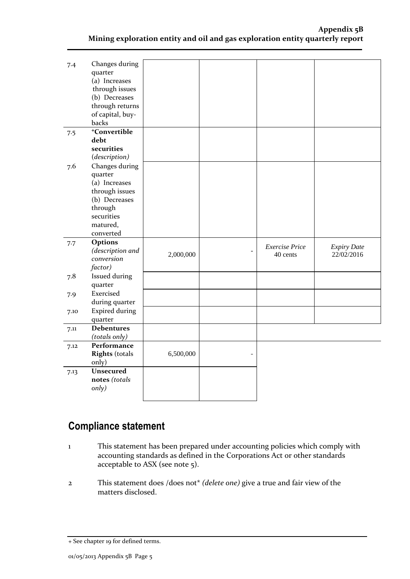| 7.4  | Changes during               |           |                       |                    |
|------|------------------------------|-----------|-----------------------|--------------------|
|      | quarter                      |           |                       |                    |
|      | (a) Increases                |           |                       |                    |
|      | through issues               |           |                       |                    |
|      | (b) Decreases                |           |                       |                    |
|      | through returns              |           |                       |                    |
|      |                              |           |                       |                    |
|      | of capital, buy-             |           |                       |                    |
|      | backs                        |           |                       |                    |
| 7.5  | <sup>+</sup> Convertible     |           |                       |                    |
|      | debt                         |           |                       |                    |
|      | securities                   |           |                       |                    |
|      | (description)                |           |                       |                    |
| 7.6  | Changes during               |           |                       |                    |
|      | quarter                      |           |                       |                    |
|      | (a) Increases                |           |                       |                    |
|      | through issues               |           |                       |                    |
|      | (b) Decreases                |           |                       |                    |
|      |                              |           |                       |                    |
|      | through                      |           |                       |                    |
|      | securities                   |           |                       |                    |
|      | matured,                     |           |                       |                    |
|      | converted                    |           |                       |                    |
| 7.7  | Options                      |           | <b>Exercise Price</b> | <b>Expiry Date</b> |
|      | (description and             | 2,000,000 | 40 cents              | 22/02/2016         |
|      | conversion                   |           |                       |                    |
|      | factor)                      |           |                       |                    |
| 7.8  | Issued during                |           |                       |                    |
|      | quarter                      |           |                       |                    |
| 7.9  | Exercised                    |           |                       |                    |
|      | during quarter               |           |                       |                    |
|      | <b>Expired during</b>        |           |                       |                    |
| 7.10 |                              |           |                       |                    |
|      | quarter<br><b>Debentures</b> |           |                       |                    |
| 7.11 |                              |           |                       |                    |
|      | (totals only)                |           |                       |                    |
| 7.12 | Performance                  |           |                       |                    |
|      | <b>Rights</b> (totals        | 6,500,000 |                       |                    |
|      | only)                        |           |                       |                    |
| 7.13 | <b>Unsecured</b>             |           |                       |                    |
|      | notes (totals                |           |                       |                    |
|      | only)                        |           |                       |                    |
|      |                              |           |                       |                    |

# **Compliance statement**

- 1 This statement has been prepared under accounting policies which comply with accounting standards as defined in the Corporations Act or other standards acceptable to ASX (see note 5).
- 2 This statement does /does not\* *(delete one)* give a true and fair view of the matters disclosed.

<sup>+</sup> See chapter 19 for defined terms.